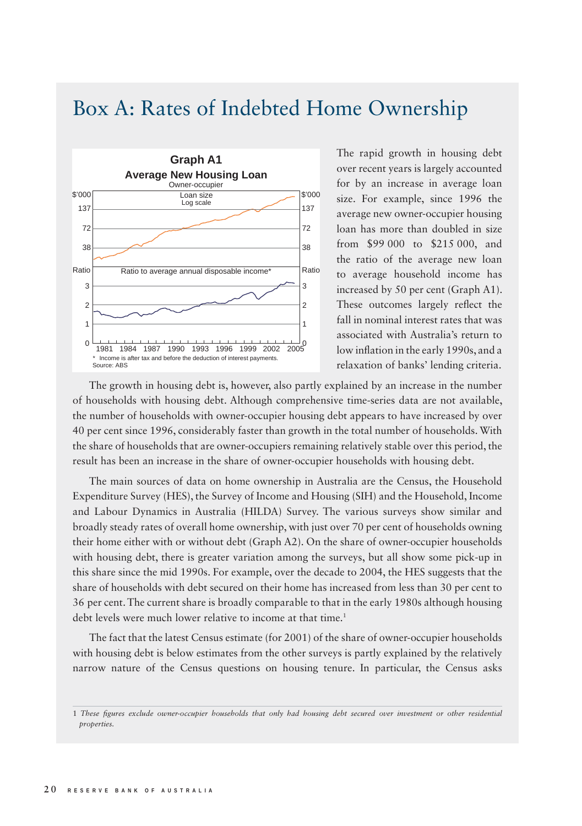## Box A: Rates of Indebted Home Ownership



The rapid growth in housing debt over recent years is largely accounted for by an increase in average loan size. For example, since 1996 the average new owner-occupier housing loan has more than doubled in size from \$99 000 to \$215 000, and the ratio of the average new loan to average household income has increased by 50 per cent (Graph A1). These outcomes largely reflect the fall in nominal interest rates that was associated with Australia's return to low inflation in the early 1990s, and a relaxation of banks' lending criteria.

The growth in housing debt is, however, also partly explained by an increase in the number of households with housing debt. Although comprehensive time-series data are not available, the number of households with owner-occupier housing debt appears to have increased by over 40 per cent since 1996, considerably faster than growth in the total number of households. With the share of households that are owner-occupiers remaining relatively stable over this period, the result has been an increase in the share of owner-occupier households with housing debt.

The main sources of data on home ownership in Australia are the Census, the Household Expenditure Survey (HES), the Survey of Income and Housing (SIH) and the Household, Income and Labour Dynamics in Australia (HILDA) Survey. The various surveys show similar and broadly steady rates of overall home ownership, with just over 70 per cent of households owning their home either with or without debt (Graph A2). On the share of owner-occupier households with housing debt, there is greater variation among the surveys, but all show some pick-up in this share since the mid 1990s. For example, over the decade to 2004, the HES suggests that the share of households with debt secured on their home has increased from less than 30 per cent to 36 per cent. The current share is broadly comparable to that in the early 1980s although housing debt levels were much lower relative to income at that time.<sup>1</sup>

The fact that the latest Census estimate (for 2001) of the share of owner-occupier households with housing debt is below estimates from the other surveys is partly explained by the relatively narrow nature of the Census questions on housing tenure. In particular, the Census asks

<sup>1</sup> These figures exclude owner-occupier households that only had housing debt secured over investment or other residential *properties.*